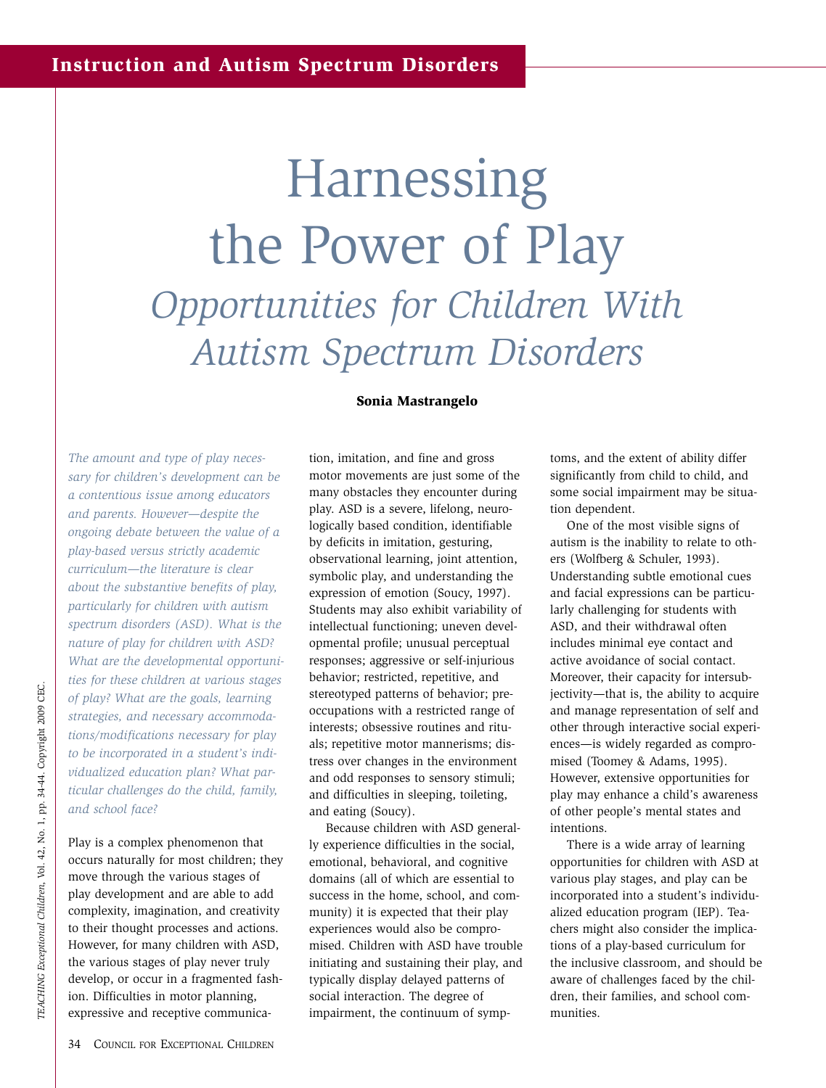## **Instruction and Autism Spectrum Disorders**

# Harnessing the Power of Play *Opportunities for Children With Autism Spectrum Disorders*

**Sonia Mastrangelo**

*The amount and type of play necessary for children's development can be a contentious issue among educators and parents. However—despite the ongoing debate between the value of a play-based versus strictly academic curriculum—the literature is clear about the substantive benefits of play, particularly for children with autism spectrum disorders (ASD). What is the nature of play for children with ASD? What are the developmental opportunities for these children at various stages of play? What are the goals, learning strategies, and necessary accommodations/modifications necessary for play to be incorporated in a student's individualized education plan? What particular challenges do the child, family, and school face?*

Play is a complex phenomenon that occurs naturally for most children; they move through the various stages of play development and are able to add complexity, imagination, and creativity to their thought processes and actions. However, for many children with ASD, the various stages of play never truly develop, or occur in a fragmented fashion. Difficulties in motor planning, expressive and receptive communication, imitation, and fine and gross motor movements are just some of the many obstacles they encounter during play. ASD is a severe, lifelong, neurologically based condition, identifiable by deficits in imitation, gesturing, observational learning, joint attention, symbolic play, and understanding the expression of emotion (Soucy, 1997). Students may also exhibit variability of intellectual functioning; uneven developmental profile; unusual perceptual responses; aggressive or self-injurious behavior; restricted, repetitive, and stereotyped patterns of behavior; preoccupations with a restricted range of interests; obsessive routines and rituals; repetitive motor mannerisms; distress over changes in the environment and odd responses to sensory stimuli; and difficulties in sleeping, toileting, and eating (Soucy).

Because children with ASD generally experience difficulties in the social, emotional, behavioral, and cognitive domains (all of which are essential to success in the home, school, and community) it is expected that their play experiences would also be compromised. Children with ASD have trouble initiating and sustaining their play, and typically display delayed patterns of social interaction. The degree of impairment, the continuum of symptoms, and the extent of ability differ significantly from child to child, and some social impairment may be situation dependent.

One of the most visible signs of autism is the inability to relate to others (Wolfberg & Schuler, 1993). Understanding subtle emotional cues and facial expressions can be particularly challenging for students with ASD, and their withdrawal often includes minimal eye contact and active avoidance of social contact. Moreover, their capacity for intersubjectivity—that is, the ability to acquire and manage representation of self and other through interactive social experiences—is widely regarded as compromised (Toomey & Adams, 1995). However, extensive opportunities for play may enhance a child's awareness of other people's mental states and intentions.

There is a wide array of learning opportunities for children with ASD at various play stages, and play can be incorporated into a student's individualized education program (IEP). Teachers might also consider the implications of a play-based curriculum for the inclusive classroom, and should be aware of challenges faced by the children, their families, and school communities.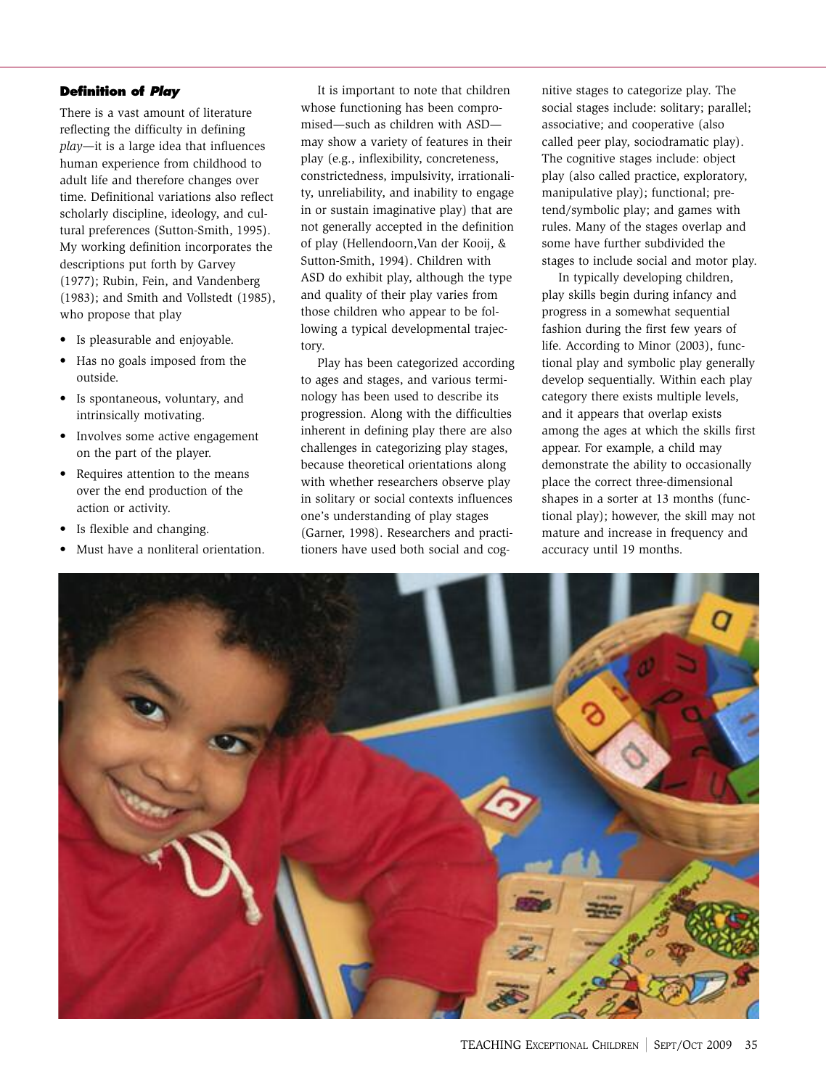## **Definition of Play**

There is a vast amount of literature reflecting the difficulty in defining *play*—it is a large idea that influences human experience from childhood to adult life and therefore changes over time. Definitional variations also reflect scholarly discipline, ideology, and cultural preferences (Sutton-Smith, 1995). My working definition incorporates the descriptions put forth by Garvey (1977); Rubin, Fein, and Vandenberg (1983); and Smith and Vollstedt (1985), who propose that play

- Is pleasurable and enjoyable.
- Has no goals imposed from the outside.
- Is spontaneous, voluntary, and intrinsically motivating.
- Involves some active engagement on the part of the player.
- Requires attention to the means over the end production of the action or activity.
- Is flexible and changing.
- Must have a nonliteral orientation.

It is important to note that children whose functioning has been compromised—such as children with ASD may show a variety of features in their play (e.g., inflexibility, concreteness, constrictedness, impulsivity, irrationality, unreliability, and inability to engage in or sustain imaginative play) that are not generally accepted in the definition of play (Hellendoorn,Van der Kooij, & Sutton-Smith, 1994). Children with ASD do exhibit play, although the type and quality of their play varies from those children who appear to be following a typical developmental trajectory.

Play has been categorized according to ages and stages, and various terminology has been used to describe its progression. Along with the difficulties inherent in defining play there are also challenges in categorizing play stages, because theoretical orientations along with whether researchers observe play in solitary or social contexts influences one's understanding of play stages (Garner, 1998). Researchers and practitioners have used both social and cog-

nitive stages to categorize play. The social stages include: solitary; parallel; associative; and cooperative (also called peer play, sociodramatic play). The cognitive stages include: object play (also called practice, exploratory, manipulative play); functional; pretend/symbolic play; and games with rules. Many of the stages overlap and some have further subdivided the stages to include social and motor play.

In typically developing children, play skills begin during infancy and progress in a somewhat sequential fashion during the first few years of life. According to Minor (2003), functional play and symbolic play generally develop sequentially. Within each play category there exists multiple levels, and it appears that overlap exists among the ages at which the skills first appear. For example, a child may demonstrate the ability to occasionally place the correct three-dimensional shapes in a sorter at 13 months (functional play); however, the skill may not mature and increase in frequency and accuracy until 19 months.

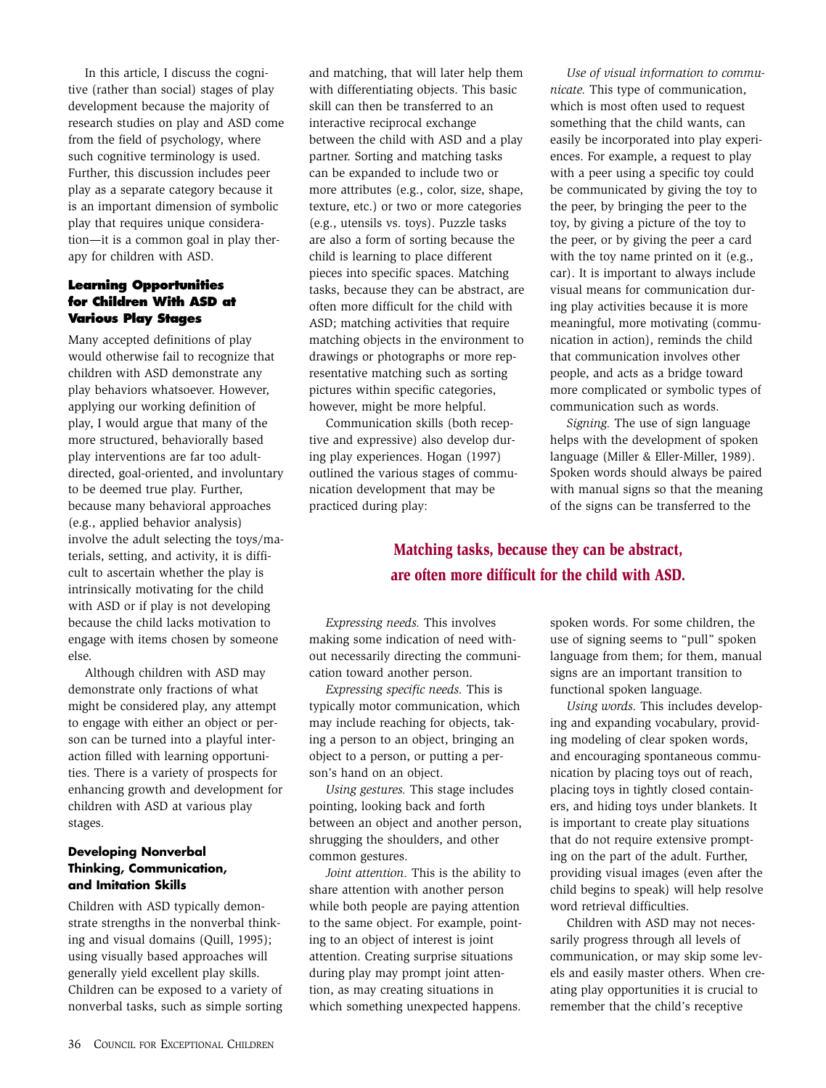In this article, I discuss the cognitive (rather than social) stages of play development because the majority of research studies on play and ASD come from the field of psychology, where such cognitive terminology is used. Further, this discussion includes peer play as a separate category because it is an important dimension of symbolic play that requires unique consideration—it is a common goal in play therapy for children with ASD.

## **Learning Opportunities for Children With ASD at Various Play Stages**

Many accepted definitions of play would otherwise fail to recognize that children with ASD demonstrate any play behaviors whatsoever. However, applying our working definition of play, I would argue that many of the more structured, behaviorally based play interventions are far too adultdirected, goal-oriented, and involuntary to be deemed true play. Further, because many behavioral approaches (e.g., applied behavior analysis) involve the adult selecting the toys/materials, setting, and activity, it is difficult to ascertain whether the play is intrinsically motivating for the child with ASD or if play is not developing because the child lacks motivation to engage with items chosen by someone else.

Although children with ASD may demonstrate only fractions of what might be considered play, any attempt to engage with either an object or person can be turned into a playful interaction filled with learning opportunities. There is a variety of prospects for enhancing growth and development for children with ASD at various play stages.

## **Developing Nonverbal Thinking, Communication, and Imitation Skills**

Children with ASD typically demonstrate strengths in the nonverbal thinking and visual domains (Quill, 1995); using visually based approaches will generally yield excellent play skills. Children can be exposed to a variety of nonverbal tasks, such as simple sorting and matching, that will later help them with differentiating objects. This basic skill can then be transferred to an interactive reciprocal exchange between the child with ASD and a play partner. Sorting and matching tasks can be expanded to include two or more attributes (e.g., color, size, shape, texture, etc.) or two or more categories (e.g., utensils vs. toys). Puzzle tasks are also a form of sorting because the child is learning to place different pieces into specific spaces. Matching tasks, because they can be abstract, are often more difficult for the child with ASD; matching activities that require matching objects in the environment to drawings or photographs or more representative matching such as sorting pictures within specific categories, however, might be more helpful.

Communication skills (both receptive and expressive) also develop during play experiences. Hogan (1997) outlined the various stages of communication development that may be practiced during play:

*Use of visual information to communicate.* This type of communication, which is most often used to request something that the child wants, can easily be incorporated into play experiences. For example, a request to play with a peer using a specific toy could be communicated by giving the toy to the peer, by bringing the peer to the toy, by giving a picture of the toy to the peer, or by giving the peer a card with the toy name printed on it (e.g., car). It is important to always include visual means for communication during play activities because it is more meaningful, more motivating (communication in action), reminds the child that communication involves other people, and acts as a bridge toward more complicated or symbolic types of communication such as words.

*Signing.* The use of sign language helps with the development of spoken language (Miller & Eller-Miller, 1989). Spoken words should always be paired with manual signs so that the meaning of the signs can be transferred to the

# **Matching tasks, because they can be abstract, are often more difficult for the child with ASD.**

*Expressing needs.* This involves making some indication of need without necessarily directing the communication toward another person.

*Expressing specific needs.* This is typically motor communication, which may include reaching for objects, taking a person to an object, bringing an object to a person, or putting a person's hand on an object.

*Using gestures.* This stage includes pointing, looking back and forth between an object and another person, shrugging the shoulders, and other common gestures.

*Joint attention.* This is the ability to share attention with another person while both people are paying attention to the same object. For example, pointing to an object of interest is joint attention. Creating surprise situations during play may prompt joint attention, as may creating situations in which something unexpected happens.

spoken words. For some children, the use of signing seems to "pull" spoken language from them; for them, manual signs are an important transition to functional spoken language.

*Using words.* This includes developing and expanding vocabulary, providing modeling of clear spoken words, and encouraging spontaneous communication by placing toys out of reach, placing toys in tightly closed containers, and hiding toys under blankets. It is important to create play situations that do not require extensive prompting on the part of the adult. Further, providing visual images (even after the child begins to speak) will help resolve word retrieval difficulties.

Children with ASD may not necessarily progress through all levels of communication, or may skip some levels and easily master others. When creating play opportunities it is crucial to remember that the child's receptive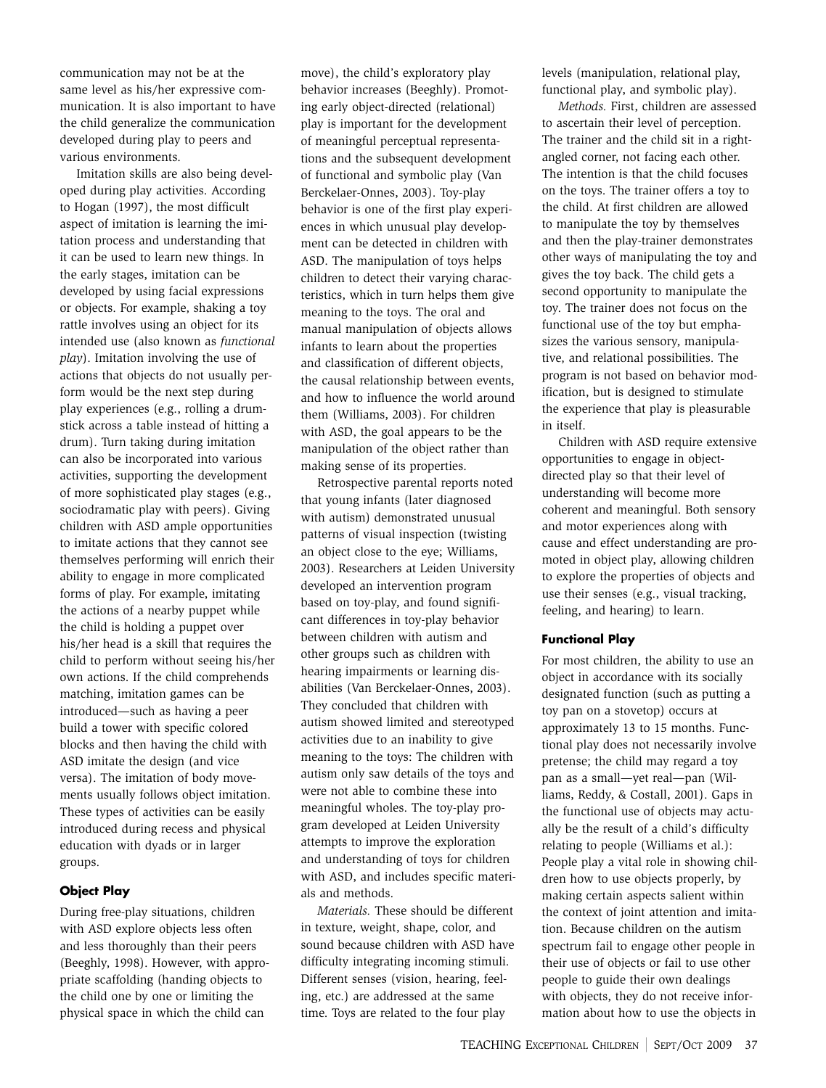communication may not be at the same level as his/her expressive communication. It is also important to have the child generalize the communication developed during play to peers and various environments.

Imitation skills are also being developed during play activities. According to Hogan (1997), the most difficult aspect of imitation is learning the imitation process and understanding that it can be used to learn new things. In the early stages, imitation can be developed by using facial expressions or objects. For example, shaking a toy rattle involves using an object for its intended use (also known as *functional play*). Imitation involving the use of actions that objects do not usually perform would be the next step during play experiences (e.g., rolling a drumstick across a table instead of hitting a drum). Turn taking during imitation can also be incorporated into various activities, supporting the development of more sophisticated play stages (e.g., sociodramatic play with peers). Giving children with ASD ample opportunities to imitate actions that they cannot see themselves performing will enrich their ability to engage in more complicated forms of play. For example, imitating the actions of a nearby puppet while the child is holding a puppet over his/her head is a skill that requires the child to perform without seeing his/her own actions. If the child comprehends matching, imitation games can be introduced—such as having a peer build a tower with specific colored blocks and then having the child with ASD imitate the design (and vice versa). The imitation of body movements usually follows object imitation. These types of activities can be easily introduced during recess and physical education with dyads or in larger groups.

## **Object Play**

During free-play situations, children with ASD explore objects less often and less thoroughly than their peers (Beeghly, 1998). However, with appropriate scaffolding (handing objects to the child one by one or limiting the physical space in which the child can

move), the child's exploratory play behavior increases (Beeghly). Promoting early object-directed (relational) play is important for the development of meaningful perceptual representations and the subsequent development of functional and symbolic play (Van Berckelaer-Onnes, 2003). Toy-play behavior is one of the first play experiences in which unusual play development can be detected in children with ASD. The manipulation of toys helps children to detect their varying characteristics, which in turn helps them give meaning to the toys. The oral and manual manipulation of objects allows infants to learn about the properties and classification of different objects, the causal relationship between events, and how to influence the world around them (Williams, 2003). For children with ASD, the goal appears to be the manipulation of the object rather than making sense of its properties.

Retrospective parental reports noted that young infants (later diagnosed with autism) demonstrated unusual patterns of visual inspection (twisting an object close to the eye; Williams, 2003). Researchers at Leiden University developed an intervention program based on toy-play, and found significant differences in toy-play behavior between children with autism and other groups such as children with hearing impairments or learning disabilities (Van Berckelaer-Onnes, 2003). They concluded that children with autism showed limited and stereotyped activities due to an inability to give meaning to the toys: The children with autism only saw details of the toys and were not able to combine these into meaningful wholes. The toy-play program developed at Leiden University attempts to improve the exploration and understanding of toys for children with ASD, and includes specific materials and methods.

*Materials.* These should be different in texture, weight, shape, color, and sound because children with ASD have difficulty integrating incoming stimuli. Different senses (vision, hearing, feeling, etc.) are addressed at the same time. Toys are related to the four play

levels (manipulation, relational play, functional play, and symbolic play).

*Methods.* First, children are assessed to ascertain their level of perception. The trainer and the child sit in a rightangled corner, not facing each other. The intention is that the child focuses on the toys. The trainer offers a toy to the child. At first children are allowed to manipulate the toy by themselves and then the play-trainer demonstrates other ways of manipulating the toy and gives the toy back. The child gets a second opportunity to manipulate the toy. The trainer does not focus on the functional use of the toy but emphasizes the various sensory, manipulative, and relational possibilities. The program is not based on behavior modification, but is designed to stimulate the experience that play is pleasurable in itself.

Children with ASD require extensive opportunities to engage in objectdirected play so that their level of understanding will become more coherent and meaningful. Both sensory and motor experiences along with cause and effect understanding are promoted in object play, allowing children to explore the properties of objects and use their senses (e.g., visual tracking, feeling, and hearing) to learn.

## **Functional Play**

For most children, the ability to use an object in accordance with its socially designated function (such as putting a toy pan on a stovetop) occurs at approximately 13 to 15 months. Functional play does not necessarily involve pretense; the child may regard a toy pan as a small—yet real—pan (Williams, Reddy, & Costall, 2001). Gaps in the functional use of objects may actually be the result of a child's difficulty relating to people (Williams et al.): People play a vital role in showing children how to use objects properly, by making certain aspects salient within the context of joint attention and imitation. Because children on the autism spectrum fail to engage other people in their use of objects or fail to use other people to guide their own dealings with objects, they do not receive information about how to use the objects in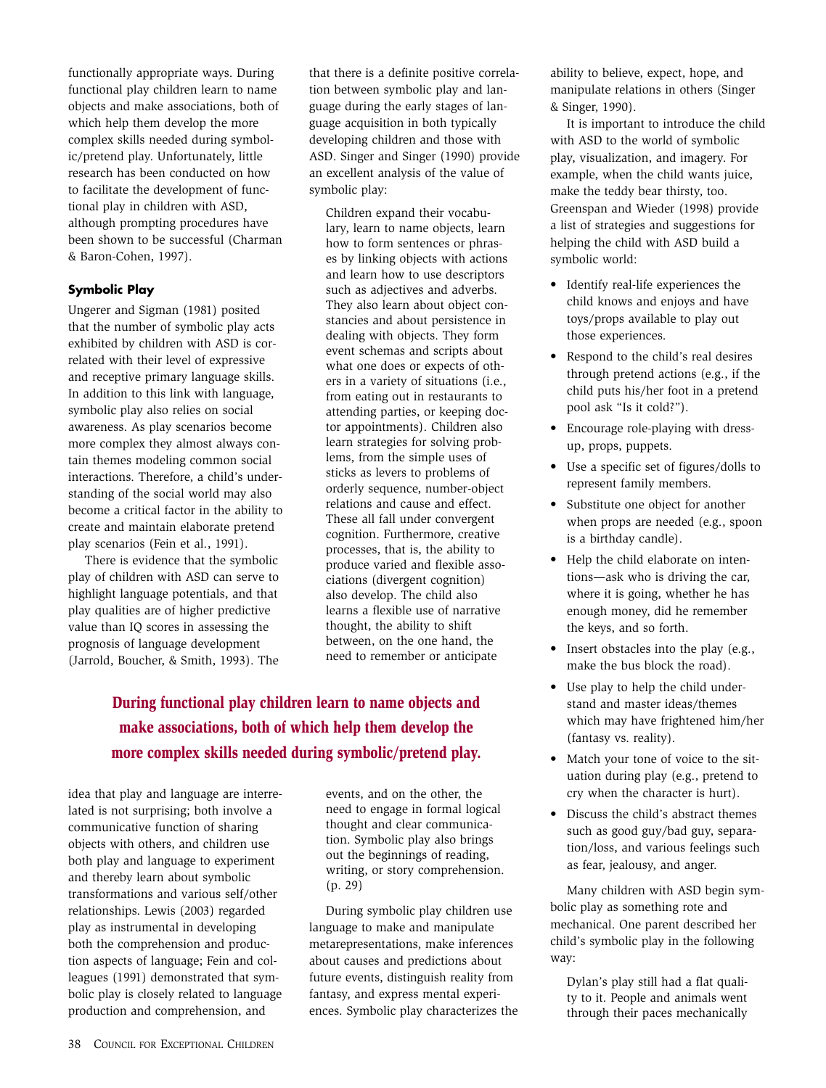functionally appropriate ways. During functional play children learn to name objects and make associations, both of which help them develop the more complex skills needed during symbolic/pretend play. Unfortunately, little research has been conducted on how to facilitate the development of functional play in children with ASD, although prompting procedures have been shown to be successful (Charman & Baron-Cohen, 1997).

## **Symbolic Play**

Ungerer and Sigman (1981) posited that the number of symbolic play acts exhibited by children with ASD is correlated with their level of expressive and receptive primary language skills. In addition to this link with language, symbolic play also relies on social awareness. As play scenarios become more complex they almost always contain themes modeling common social interactions. Therefore, a child's understanding of the social world may also become a critical factor in the ability to create and maintain elaborate pretend play scenarios (Fein et al., 1991).

There is evidence that the symbolic play of children with ASD can serve to highlight language potentials, and that play qualities are of higher predictive value than IQ scores in assessing the prognosis of language development (Jarrold, Boucher, & Smith, 1993). The that there is a definite positive correlation between symbolic play and language during the early stages of language acquisition in both typically developing children and those with ASD. Singer and Singer (1990) provide an excellent analysis of the value of symbolic play:

Children expand their vocabulary, learn to name objects, learn how to form sentences or phrases by linking objects with actions and learn how to use descriptors such as adjectives and adverbs. They also learn about object constancies and about persistence in dealing with objects. They form event schemas and scripts about what one does or expects of others in a variety of situations (i.e., from eating out in restaurants to attending parties, or keeping doctor appointments). Children also learn strategies for solving problems, from the simple uses of sticks as levers to problems of orderly sequence, number-object relations and cause and effect. These all fall under convergent cognition. Furthermore, creative processes, that is, the ability to produce varied and flexible associations (divergent cognition) also develop. The child also learns a flexible use of narrative thought, the ability to shift between, on the one hand, the need to remember or anticipate

**During functional play children learn to name objects and make associations, both of which help them develop the more complex skills needed during symbolic/pretend play.**

idea that play and language are interrelated is not surprising; both involve a communicative function of sharing objects with others, and children use both play and language to experiment and thereby learn about symbolic transformations and various self/other relationships. Lewis (2003) regarded play as instrumental in developing both the comprehension and production aspects of language; Fein and colleagues (1991) demonstrated that symbolic play is closely related to language production and comprehension, and

events, and on the other, the need to engage in formal logical thought and clear communication. Symbolic play also brings out the beginnings of reading, writing, or story comprehension. (p. 29)

During symbolic play children use language to make and manipulate metarepresentations, make inferences about causes and predictions about future events, distinguish reality from fantasy, and express mental experiences. Symbolic play characterizes the ability to believe, expect, hope, and manipulate relations in others (Singer & Singer, 1990).

It is important to introduce the child with ASD to the world of symbolic play, visualization, and imagery. For example, when the child wants juice, make the teddy bear thirsty, too. Greenspan and Wieder (1998) provide a list of strategies and suggestions for helping the child with ASD build a symbolic world:

- Identify real-life experiences the child knows and enjoys and have toys/props available to play out those experiences.
- Respond to the child's real desires through pretend actions (e.g., if the child puts his/her foot in a pretend pool ask "Is it cold?").
- Encourage role-playing with dressup, props, puppets.
- Use a specific set of figures/dolls to represent family members.
- Substitute one object for another when props are needed (e.g., spoon is a birthday candle).
- Help the child elaborate on intentions—ask who is driving the car, where it is going, whether he has enough money, did he remember the keys, and so forth.
- Insert obstacles into the play (e.g., make the bus block the road).
- Use play to help the child understand and master ideas/themes which may have frightened him/her (fantasy vs. reality).
- Match your tone of voice to the situation during play (e.g., pretend to cry when the character is hurt).
- Discuss the child's abstract themes such as good guy/bad guy, separation/loss, and various feelings such as fear, jealousy, and anger.

Many children with ASD begin symbolic play as something rote and mechanical. One parent described her child's symbolic play in the following way:

Dylan's play still had a flat quality to it. People and animals went through their paces mechanically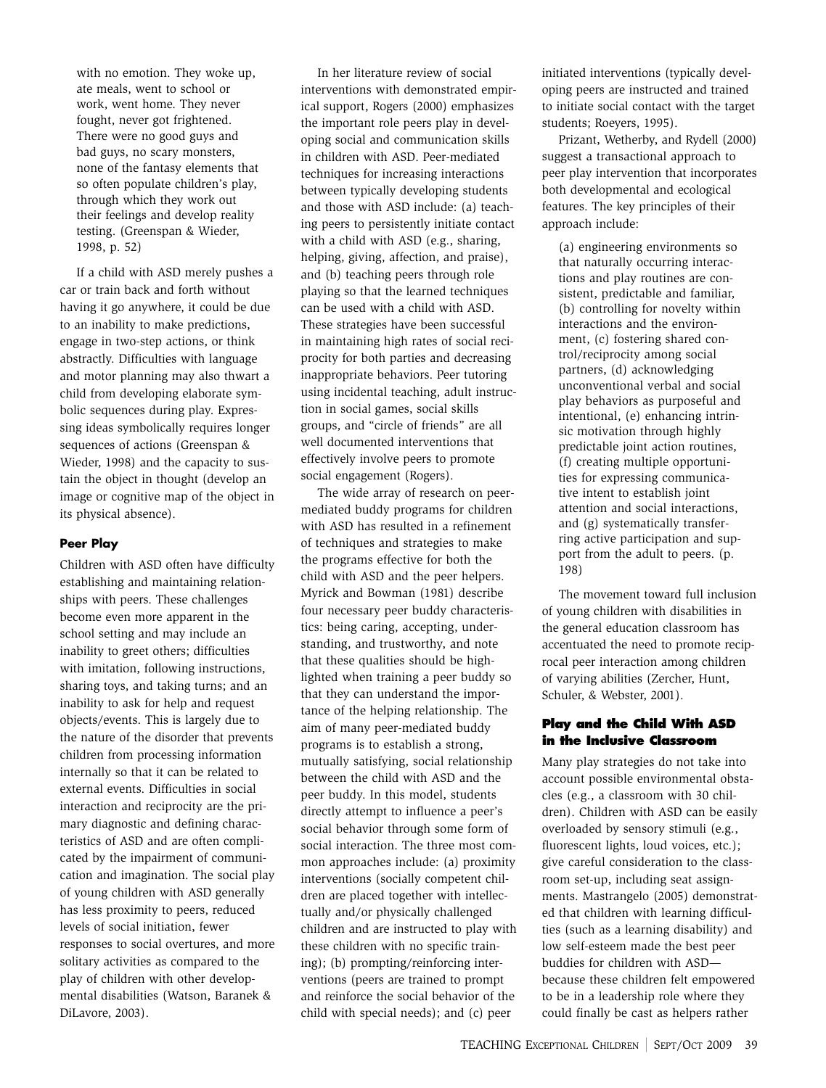with no emotion. They woke up, ate meals, went to school or work, went home. They never fought, never got frightened. There were no good guys and bad guys, no scary monsters, none of the fantasy elements that so often populate children's play, through which they work out their feelings and develop reality testing. (Greenspan & Wieder, 1998, p. 52)

If a child with ASD merely pushes a car or train back and forth without having it go anywhere, it could be due to an inability to make predictions, engage in two-step actions, or think abstractly. Difficulties with language and motor planning may also thwart a child from developing elaborate symbolic sequences during play. Expressing ideas symbolically requires longer sequences of actions (Greenspan & Wieder, 1998) and the capacity to sustain the object in thought (develop an image or cognitive map of the object in its physical absence).

## **Peer Play**

Children with ASD often have difficulty establishing and maintaining relationships with peers. These challenges become even more apparent in the school setting and may include an inability to greet others; difficulties with imitation, following instructions, sharing toys, and taking turns; and an inability to ask for help and request objects/events. This is largely due to the nature of the disorder that prevents children from processing information internally so that it can be related to external events. Difficulties in social interaction and reciprocity are the primary diagnostic and defining characteristics of ASD and are often complicated by the impairment of communication and imagination. The social play of young children with ASD generally has less proximity to peers, reduced levels of social initiation, fewer responses to social overtures, and more solitary activities as compared to the play of children with other developmental disabilities (Watson, Baranek & DiLavore, 2003).

In her literature review of social interventions with demonstrated empirical support, Rogers (2000) emphasizes the important role peers play in developing social and communication skills in children with ASD. Peer-mediated techniques for increasing interactions between typically developing students and those with ASD include: (a) teaching peers to persistently initiate contact with a child with ASD (e.g., sharing, helping, giving, affection, and praise), and (b) teaching peers through role playing so that the learned techniques can be used with a child with ASD. These strategies have been successful in maintaining high rates of social reciprocity for both parties and decreasing inappropriate behaviors. Peer tutoring using incidental teaching, adult instruction in social games, social skills groups, and "circle of friends" are all well documented interventions that effectively involve peers to promote social engagement (Rogers).

The wide array of research on peermediated buddy programs for children with ASD has resulted in a refinement of techniques and strategies to make the programs effective for both the child with ASD and the peer helpers. Myrick and Bowman (1981) describe four necessary peer buddy characteristics: being caring, accepting, understanding, and trustworthy, and note that these qualities should be highlighted when training a peer buddy so that they can understand the importance of the helping relationship. The aim of many peer-mediated buddy programs is to establish a strong, mutually satisfying, social relationship between the child with ASD and the peer buddy. In this model, students directly attempt to influence a peer's social behavior through some form of social interaction. The three most common approaches include: (a) proximity interventions (socially competent children are placed together with intellectually and/or physically challenged children and are instructed to play with these children with no specific training); (b) prompting/reinforcing interventions (peers are trained to prompt and reinforce the social behavior of the child with special needs); and (c) peer

initiated interventions (typically developing peers are instructed and trained to initiate social contact with the target students; Roeyers, 1995).

Prizant, Wetherby, and Rydell (2000) suggest a transactional approach to peer play intervention that incorporates both developmental and ecological features. The key principles of their approach include:

(a) engineering environments so that naturally occurring interactions and play routines are consistent, predictable and familiar, (b) controlling for novelty within interactions and the environment, (c) fostering shared control/reciprocity among social partners, (d) acknowledging unconventional verbal and social play behaviors as purposeful and intentional, (e) enhancing intrinsic motivation through highly predictable joint action routines, (f) creating multiple opportunities for expressing communicative intent to establish joint attention and social interactions, and (g) systematically transferring active participation and support from the adult to peers. (p. 198)

The movement toward full inclusion of young children with disabilities in the general education classroom has accentuated the need to promote reciprocal peer interaction among children of varying abilities (Zercher, Hunt, Schuler, & Webster, 2001).

## **Play and the Child With ASD in the Inclusive Classroom**

Many play strategies do not take into account possible environmental obstacles (e.g., a classroom with 30 children). Children with ASD can be easily overloaded by sensory stimuli (e.g., fluorescent lights, loud voices, etc.); give careful consideration to the classroom set-up, including seat assignments. Mastrangelo (2005) demonstrated that children with learning difficulties (such as a learning disability) and low self-esteem made the best peer buddies for children with ASD because these children felt empowered to be in a leadership role where they could finally be cast as helpers rather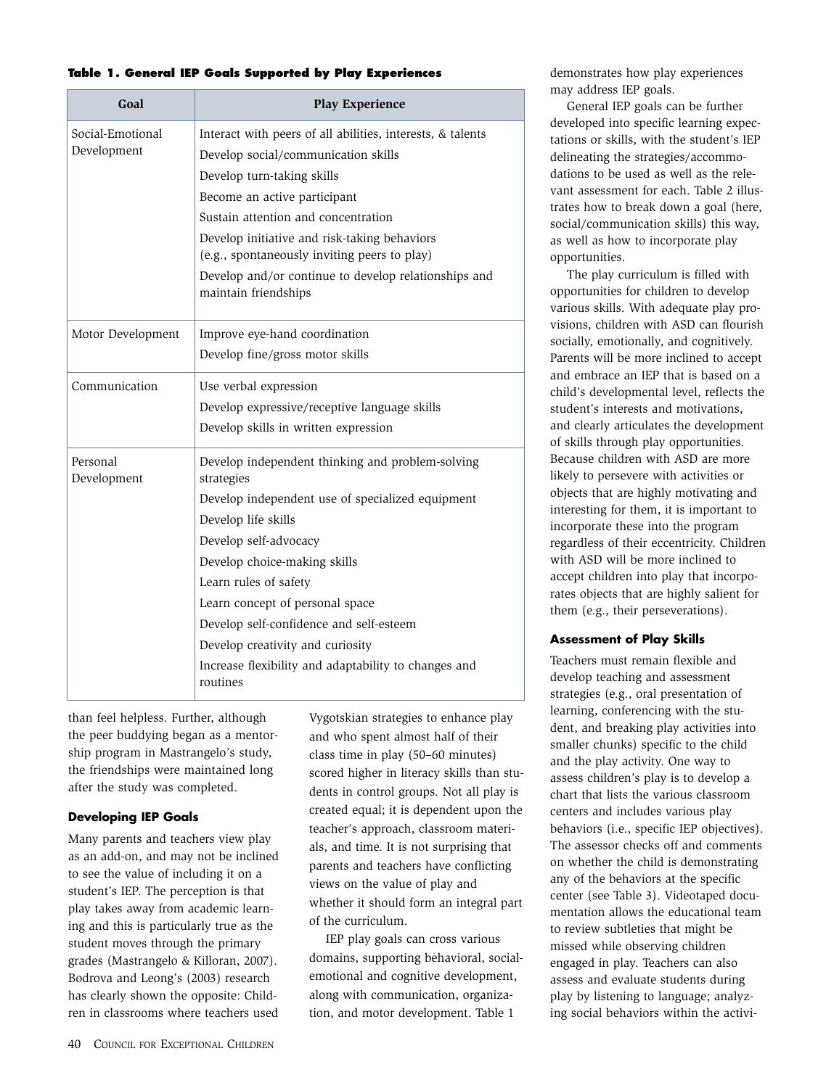#### **Table 1. General IEP Goals Supported by Play Experiences**

| Goal                    | <b>Play Experience</b>                                                                       |  |  |  |  |
|-------------------------|----------------------------------------------------------------------------------------------|--|--|--|--|
| Social-Emotional        | Interact with peers of all abilities, interests, & talents                                   |  |  |  |  |
| Development             | Develop social/communication skills                                                          |  |  |  |  |
|                         | Develop turn-taking skills                                                                   |  |  |  |  |
|                         | Become an active participant                                                                 |  |  |  |  |
|                         | Sustain attention and concentration                                                          |  |  |  |  |
|                         | Develop initiative and risk-taking behaviors<br>(e.g., spontaneously inviting peers to play) |  |  |  |  |
|                         | Develop and/or continue to develop relationships and<br>maintain friendships                 |  |  |  |  |
| Motor Development       | Improve eye-hand coordination                                                                |  |  |  |  |
|                         | Develop fine/gross motor skills                                                              |  |  |  |  |
| Communication           | Use verbal expression                                                                        |  |  |  |  |
|                         | Develop expressive/receptive language skills                                                 |  |  |  |  |
|                         | Develop skills in written expression                                                         |  |  |  |  |
| Personal<br>Development | Develop independent thinking and problem-solving<br>strategies                               |  |  |  |  |
|                         | Develop independent use of specialized equipment                                             |  |  |  |  |
|                         | Develop life skills                                                                          |  |  |  |  |
|                         | Develop self-advocacy                                                                        |  |  |  |  |
|                         | Develop choice-making skills                                                                 |  |  |  |  |
|                         | Learn rules of safety                                                                        |  |  |  |  |
|                         | Learn concept of personal space                                                              |  |  |  |  |
|                         | Develop self-confidence and self-esteem                                                      |  |  |  |  |
|                         | Develop creativity and curiosity                                                             |  |  |  |  |
|                         | Increase flexibility and adaptability to changes and<br>routines                             |  |  |  |  |

than feel helpless. Further, although the peer buddying began as a mentorship program in Mastrangelo's study, the friendships were maintained long after the study was completed.

## **Developing IEP Goals**

Many parents and teachers view play as an add-on, and may not be inclined to see the value of including it on a student's IEP. The perception is that play takes away from academic learning and this is particularly true as the student moves through the primary grades (Mastrangelo & Killoran, 2007). Bodrova and Leong's (2003) research has clearly shown the opposite: Children in classrooms where teachers used Vygotskian strategies to enhance play and who spent almost half of their class time in play (50–60 minutes) scored higher in literacy skills than students in control groups. Not all play is created equal; it is dependent upon the teacher's approach, classroom materials, and time. It is not surprising that parents and teachers have conflicting views on the value of play and whether it should form an integral part of the curriculum.

IEP play goals can cross various domains, supporting behavioral, socialemotional and cognitive development, along with communication, organization, and motor development. Table 1

demonstrates how play experiences may address IEP goals.

General IEP goals can be further developed into specific learning expectations or skills, with the student's IEP delineating the strategies/accommodations to be used as well as the relevant assessment for each. Table 2 illustrates how to break down a goal (here, social/communication skills) this way, as well as how to incorporate play opportunities.

The play curriculum is filled with opportunities for children to develop various skills. With adequate play provisions, children with ASD can flourish socially, emotionally, and cognitively. Parents will be more inclined to accept and embrace an IEP that is based on a child's developmental level, reflects the student's interests and motivations, and clearly articulates the development of skills through play opportunities. Because children with ASD are more likely to persevere with activities or objects that are highly motivating and interesting for them, it is important to incorporate these into the program regardless of their eccentricity. Children with ASD will be more inclined to accept children into play that incorporates objects that are highly salient for them (e.g., their perseverations).

## **Assessment of Play Skills**

Teachers must remain flexible and develop teaching and assessment strategies (e.g., oral presentation of learning, conferencing with the student, and breaking play activities into smaller chunks) specific to the child and the play activity. One way to assess children's play is to develop a chart that lists the various classroom centers and includes various play behaviors (i.e., specific IEP objectives). The assessor checks off and comments on whether the child is demonstrating any of the behaviors at the specific center (see Table 3). Videotaped documentation allows the educational team to review subtleties that might be missed while observing children engaged in play. Teachers can also assess and evaluate students during play by listening to language; analyzing social behaviors within the activi-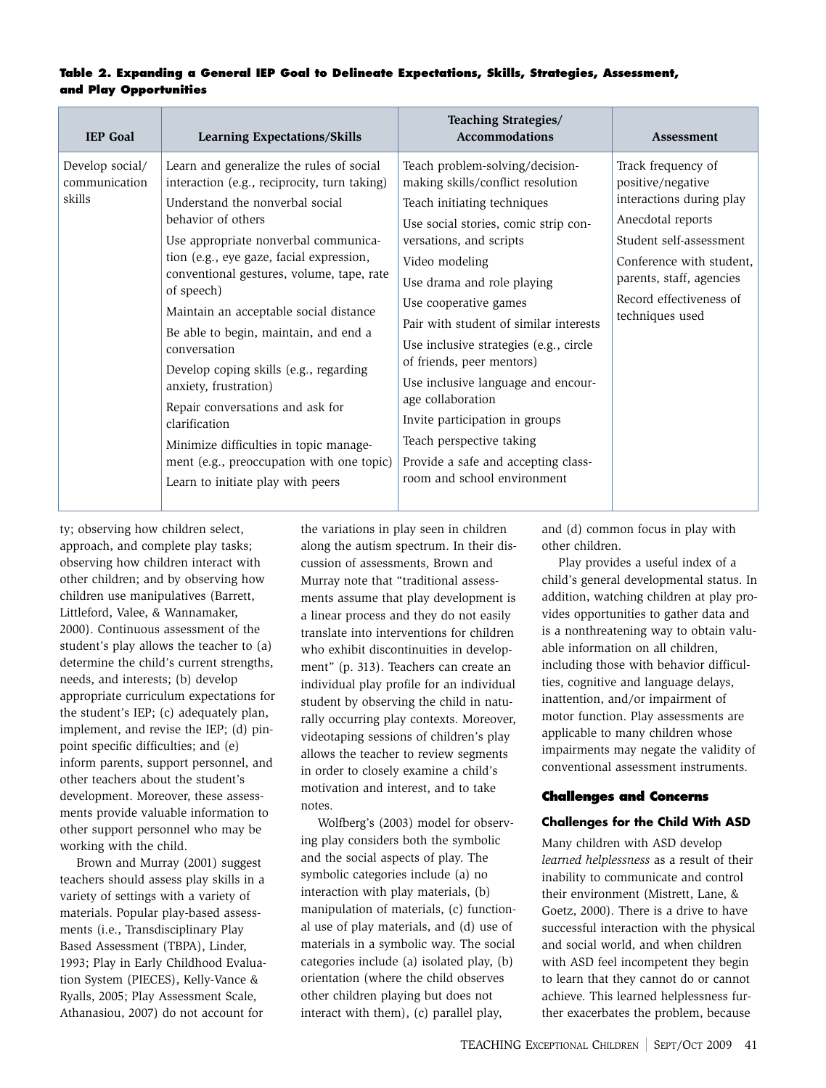| <b>IEP Goal</b>                            | <b>Learning Expectations/Skills</b>                                                                                                                                                                                                                                                                                                                                                                                                                                                                                                                                                                                                                     | Teaching Strategies/<br><b>Accommodations</b>                                                                                                                                                                                                                                                                                                                                                                                                                                                                                                                   | <b>Assessment</b>                                                                                                                                                                                                         |
|--------------------------------------------|---------------------------------------------------------------------------------------------------------------------------------------------------------------------------------------------------------------------------------------------------------------------------------------------------------------------------------------------------------------------------------------------------------------------------------------------------------------------------------------------------------------------------------------------------------------------------------------------------------------------------------------------------------|-----------------------------------------------------------------------------------------------------------------------------------------------------------------------------------------------------------------------------------------------------------------------------------------------------------------------------------------------------------------------------------------------------------------------------------------------------------------------------------------------------------------------------------------------------------------|---------------------------------------------------------------------------------------------------------------------------------------------------------------------------------------------------------------------------|
| Develop social/<br>communication<br>skills | Learn and generalize the rules of social<br>interaction (e.g., reciprocity, turn taking)<br>Understand the nonverbal social<br>behavior of others<br>Use appropriate nonverbal communica-<br>tion (e.g., eye gaze, facial expression,<br>conventional gestures, volume, tape, rate<br>of speech)<br>Maintain an acceptable social distance<br>Be able to begin, maintain, and end a<br>conversation<br>Develop coping skills (e.g., regarding<br>anxiety, frustration)<br>Repair conversations and ask for<br>clarification<br>Minimize difficulties in topic manage-<br>ment (e.g., preoccupation with one topic)<br>Learn to initiate play with peers | Teach problem-solving/decision-<br>making skills/conflict resolution<br>Teach initiating techniques<br>Use social stories, comic strip con-<br>versations, and scripts<br>Video modeling<br>Use drama and role playing<br>Use cooperative games<br>Pair with student of similar interests<br>Use inclusive strategies (e.g., circle<br>of friends, peer mentors)<br>Use inclusive language and encour-<br>age collaboration<br>Invite participation in groups<br>Teach perspective taking<br>Provide a safe and accepting class-<br>room and school environment | Track frequency of<br>positive/negative<br>interactions during play<br>Anecdotal reports<br>Student self-assessment<br>Conference with student,<br>parents, staff, agencies<br>Record effectiveness of<br>techniques used |

## **Table 2. Expanding a General IEP Goal to Delineate Expectations, Skills, Strategies, Assessment, and Play Opportunities**

ty; observing how children select, approach, and complete play tasks; observing how children interact with other children; and by observing how children use manipulatives (Barrett, Littleford, Valee, & Wannamaker, 2000). Continuous assessment of the student's play allows the teacher to (a) determine the child's current strengths, needs, and interests; (b) develop appropriate curriculum expectations for the student's IEP; (c) adequately plan, implement, and revise the IEP; (d) pinpoint specific difficulties; and (e) inform parents, support personnel, and other teachers about the student's development. Moreover, these assessments provide valuable information to other support personnel who may be working with the child.

Brown and Murray (2001) suggest teachers should assess play skills in a variety of settings with a variety of materials. Popular play-based assessments (i.e., Transdisciplinary Play Based Assessment (TBPA), Linder, 1993; Play in Early Childhood Evaluation System (PIECES), Kelly-Vance & Ryalls, 2005; Play Assessment Scale, Athanasiou, 2007) do not account for

the variations in play seen in children along the autism spectrum. In their discussion of assessments, Brown and Murray note that "traditional assessments assume that play development is a linear process and they do not easily translate into interventions for children who exhibit discontinuities in development" (p. 313). Teachers can create an individual play profile for an individual student by observing the child in naturally occurring play contexts. Moreover, videotaping sessions of children's play allows the teacher to review segments in order to closely examine a child's motivation and interest, and to take notes.

Wolfberg's (2003) model for observing play considers both the symbolic and the social aspects of play. The symbolic categories include (a) no interaction with play materials, (b) manipulation of materials, (c) functional use of play materials, and (d) use of materials in a symbolic way. The social categories include (a) isolated play, (b) orientation (where the child observes other children playing but does not interact with them), (c) parallel play,

and (d) common focus in play with other children.

Play provides a useful index of a child's general developmental status. In addition, watching children at play provides opportunities to gather data and is a nonthreatening way to obtain valuable information on all children, including those with behavior difficulties, cognitive and language delays, inattention, and/or impairment of motor function. Play assessments are applicable to many children whose impairments may negate the validity of conventional assessment instruments.

## **Challenges and Concerns**

## **Challenges for the Child With ASD**

Many children with ASD develop *learned helplessness* as a result of their inability to communicate and control their environment (Mistrett, Lane, & Goetz, 2000). There is a drive to have successful interaction with the physical and social world, and when children with ASD feel incompetent they begin to learn that they cannot do or cannot achieve. This learned helplessness further exacerbates the problem, because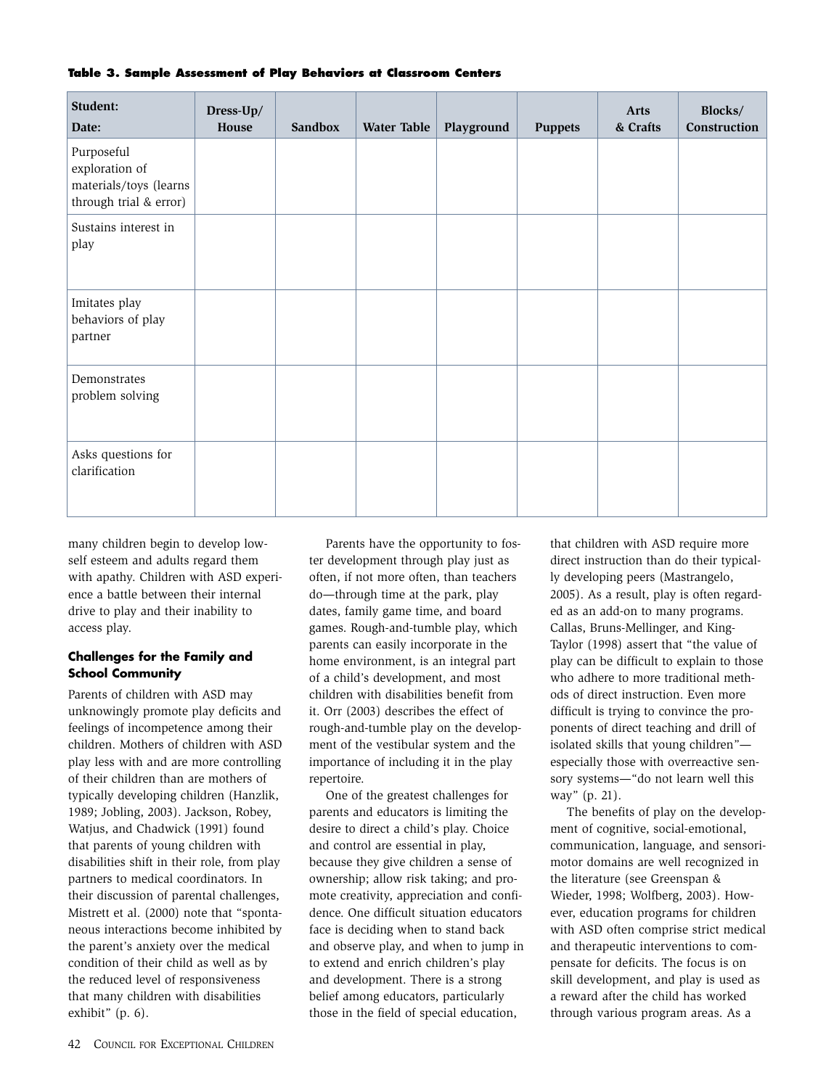|  |  |  | Table 3. Sample Assessment of Play Behaviors at Classroom Centers |  |  |  |  |  |  |
|--|--|--|-------------------------------------------------------------------|--|--|--|--|--|--|
|--|--|--|-------------------------------------------------------------------|--|--|--|--|--|--|

| Student:<br>Date:                                                                | Dress-Up/<br>House | <b>Sandbox</b> | <b>Water Table</b> | Playground | <b>Puppets</b> | Arts<br>& Crafts | Blocks/<br>Construction |
|----------------------------------------------------------------------------------|--------------------|----------------|--------------------|------------|----------------|------------------|-------------------------|
| Purposeful<br>exploration of<br>materials/toys (learns<br>through trial & error) |                    |                |                    |            |                |                  |                         |
| Sustains interest in<br>play                                                     |                    |                |                    |            |                |                  |                         |
| Imitates play<br>behaviors of play<br>partner                                    |                    |                |                    |            |                |                  |                         |
| Demonstrates<br>problem solving                                                  |                    |                |                    |            |                |                  |                         |
| Asks questions for<br>clarification                                              |                    |                |                    |            |                |                  |                         |

many children begin to develop lowself esteem and adults regard them with apathy. Children with ASD experience a battle between their internal drive to play and their inability to access play.

## **Challenges for the Family and School Community**

Parents of children with ASD may unknowingly promote play deficits and feelings of incompetence among their children. Mothers of children with ASD play less with and are more controlling of their children than are mothers of typically developing children (Hanzlik, 1989; Jobling, 2003). Jackson, Robey, Watjus, and Chadwick (1991) found that parents of young children with disabilities shift in their role, from play partners to medical coordinators. In their discussion of parental challenges, Mistrett et al. (2000) note that "spontaneous interactions become inhibited by the parent's anxiety over the medical condition of their child as well as by the reduced level of responsiveness that many children with disabilities exhibit" (p. 6).

Parents have the opportunity to foster development through play just as often, if not more often, than teachers do—through time at the park, play dates, family game time, and board games. Rough-and-tumble play, which parents can easily incorporate in the home environment, is an integral part of a child's development, and most children with disabilities benefit from it. Orr (2003) describes the effect of rough-and-tumble play on the development of the vestibular system and the importance of including it in the play repertoire.

One of the greatest challenges for parents and educators is limiting the desire to direct a child's play. Choice and control are essential in play, because they give children a sense of ownership; allow risk taking; and promote creativity, appreciation and confidence. One difficult situation educators face is deciding when to stand back and observe play, and when to jump in to extend and enrich children's play and development. There is a strong belief among educators, particularly those in the field of special education,

that children with ASD require more direct instruction than do their typically developing peers (Mastrangelo, 2005). As a result, play is often regarded as an add-on to many programs. Callas, Bruns-Mellinger, and King-Taylor (1998) assert that "the value of play can be difficult to explain to those who adhere to more traditional methods of direct instruction. Even more difficult is trying to convince the proponents of direct teaching and drill of isolated skills that young children" especially those with overreactive sensory systems—"do not learn well this way" (p. 21).

The benefits of play on the development of cognitive, social-emotional, communication, language, and sensorimotor domains are well recognized in the literature (see Greenspan & Wieder, 1998; Wolfberg, 2003). However, education programs for children with ASD often comprise strict medical and therapeutic interventions to compensate for deficits. The focus is on skill development, and play is used as a reward after the child has worked through various program areas. As a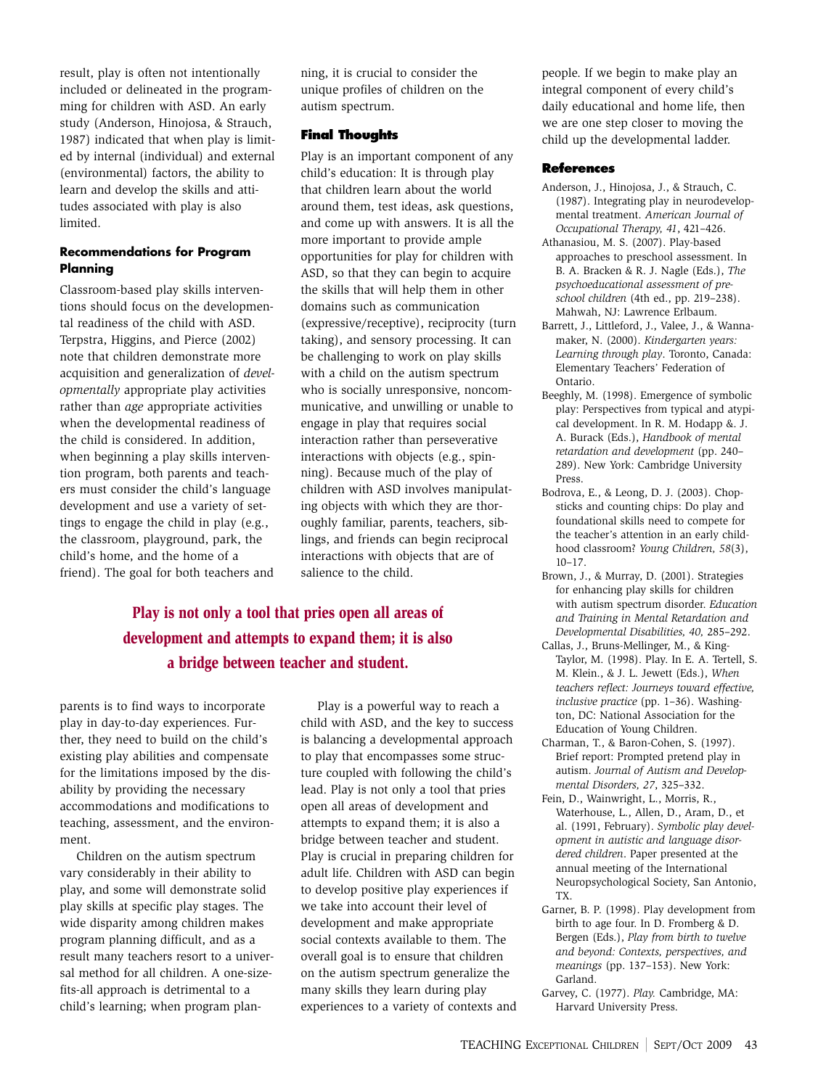result, play is often not intentionally included or delineated in the programming for children with ASD. An early study (Anderson, Hinojosa, & Strauch, 1987) indicated that when play is limited by internal (individual) and external (environmental) factors, the ability to learn and develop the skills and attitudes associated with play is also limited.

## **Recommendations for Program Planning**

Classroom-based play skills interventions should focus on the developmental readiness of the child with ASD. Terpstra, Higgins, and Pierce (2002) note that children demonstrate more acquisition and generalization of *developmentally* appropriate play activities rather than *age* appropriate activities when the developmental readiness of the child is considered. In addition, when beginning a play skills intervention program, both parents and teachers must consider the child's language development and use a variety of settings to engage the child in play (e.g., the classroom, playground, park, the child's home, and the home of a friend). The goal for both teachers and ning, it is crucial to consider the unique profiles of children on the autism spectrum.

## **Final Thoughts**

Play is an important component of any child's education: It is through play that children learn about the world around them, test ideas, ask questions, and come up with answers. It is all the more important to provide ample opportunities for play for children with ASD, so that they can begin to acquire the skills that will help them in other domains such as communication (expressive/receptive), reciprocity (turn taking), and sensory processing. It can be challenging to work on play skills with a child on the autism spectrum who is socially unresponsive, noncommunicative, and unwilling or unable to engage in play that requires social interaction rather than perseverative interactions with objects (e.g., spinning). Because much of the play of children with ASD involves manipulating objects with which they are thoroughly familiar, parents, teachers, siblings, and friends can begin reciprocal interactions with objects that are of salience to the child.

# **Play is not only a tool that pries open all areas of development and attempts to expand them; it is also a bridge between teacher and student.**

parents is to find ways to incorporate play in day-to-day experiences. Further, they need to build on the child's existing play abilities and compensate for the limitations imposed by the disability by providing the necessary accommodations and modifications to teaching, assessment, and the environment.

Children on the autism spectrum vary considerably in their ability to play, and some will demonstrate solid play skills at specific play stages. The wide disparity among children makes program planning difficult, and as a result many teachers resort to a universal method for all children. A one-sizefits-all approach is detrimental to a child's learning; when program plan-

Play is a powerful way to reach a child with ASD, and the key to success is balancing a developmental approach to play that encompasses some structure coupled with following the child's lead. Play is not only a tool that pries open all areas of development and attempts to expand them; it is also a bridge between teacher and student. Play is crucial in preparing children for adult life. Children with ASD can begin to develop positive play experiences if we take into account their level of development and make appropriate social contexts available to them. The overall goal is to ensure that children on the autism spectrum generalize the many skills they learn during play experiences to a variety of contexts and people. If we begin to make play an integral component of every child's daily educational and home life, then we are one step closer to moving the child up the developmental ladder.

## **References**

- Anderson, J., Hinojosa, J., & Strauch, C. (1987). Integrating play in neurodevelopmental treatment. *American Journal of Occupational Therapy, 41*, 421–426.
- Athanasiou, M. S. (2007). Play-based approaches to preschool assessment. In B. A. Bracken & R. J. Nagle (Eds.), *The psychoeducational assessment of preschool children* (4th ed., pp. 219–238). Mahwah, NJ: Lawrence Erlbaum.
- Barrett, J., Littleford, J., Valee, J., & Wannamaker, N. (2000). *Kindergarten years: Learning through play*. Toronto, Canada: Elementary Teachers' Federation of Ontario.
- Beeghly, M. (1998). Emergence of symbolic play: Perspectives from typical and atypical development. In R. M. Hodapp &. J. A. Burack (Eds.), *Handbook of mental retardation and development* (pp. 240– 289). New York: Cambridge University Press.
- Bodrova, E., & Leong, D. J. (2003). Chopsticks and counting chips: Do play and foundational skills need to compete for the teacher's attention in an early childhood classroom? *Young Children, 58*(3), 10–17.
- Brown, J., & Murray, D. (2001). Strategies for enhancing play skills for children with autism spectrum disorder. *Education and Training in Mental Retardation and Developmental Disabilities, 40,* 285–292.
- Callas, J., Bruns-Mellinger, M., & King-Taylor, M. (1998). Play. In E. A. Tertell, S. M. Klein., & J. L. Jewett (Eds.), *When teachers reflect: Journeys toward effective, inclusive practice* (pp. 1–36). Washington, DC: National Association for the Education of Young Children.
- Charman, T., & Baron-Cohen, S. (1997). Brief report: Prompted pretend play in autism. *Journal of Autism and Developmental Disorders, 27*, 325–332.
- Fein, D., Wainwright, L., Morris, R., Waterhouse, L., Allen, D., Aram, D., et al. (1991, February). *Symbolic play development in autistic and language disordered children*. Paper presented at the annual meeting of the International Neuropsychological Society, San Antonio, TX.
- Garner, B. P. (1998). Play development from birth to age four. In D. Fromberg & D. Bergen (Eds.), *Play from birth to twelve and beyond: Contexts, perspectives, and meanings* (pp. 137–153). New York: Garland.
- Garvey, C. (1977). *Play.* Cambridge, MA: Harvard University Press.